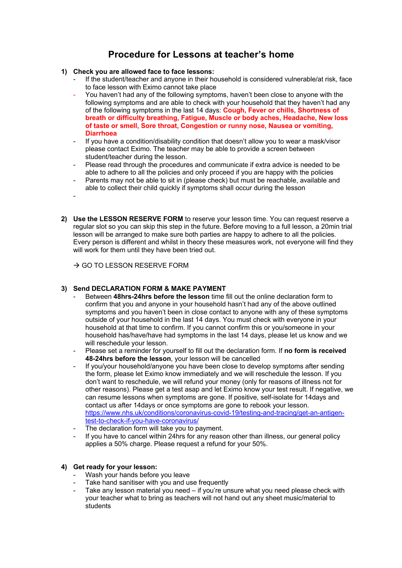# **Procedure for Lessons at teacher's home**

## **1) Check you are allowed face to face lessons:**

- If the student/teacher and anyone in their household is considered vulnerable/at risk, face to face lesson with Eximo cannot take place
- You haven't had any of the following symptoms, haven't been close to anyone with the following symptoms and are able to check with your household that they haven't had any of the following symptoms in the last 14 days: **Cough, Fever or chills, Shortness of breath or difficulty breathing, Fatigue, Muscle or body aches, Headache, New loss of taste or smell, Sore throat, Congestion or runny nose, Nausea or vomiting, Diarrhoea**
- If you have a condition/disability condition that doesn't allow you to wear a mask/visor please contact Eximo. The teacher may be able to provide a screen between student/teacher during the lesson.
- Please read through the procedures and communicate if extra advice is needed to be able to adhere to all the policies and only proceed if you are happy with the policies
- Parents may not be able to sit in (please check) but must be reachable, available and able to collect their child quickly if symptoms shall occur during the lesson
- -
- **2) Use the LESSON RESERVE FORM** to reserve your lesson time. You can request reserve a regular slot so you can skip this step in the future. Before moving to a full lesson, a 20min trial lesson will be arranged to make sure both parties are happy to adhere to all the policies. Every person is different and whilst in theory these measures work, not everyone will find they will work for them until they have been tried out.

 $\rightarrow$  GO TO LESSON RESERVE FORM

# **3) Send DECLARATION FORM & MAKE PAYMENT**

- Between **48hrs-24hrs before the lesson** time fill out the online declaration form to confirm that you and anyone in your household hasn't had any of the above outlined symptoms and you haven't been in close contact to anyone with any of these symptoms outside of your household in the last 14 days. You must check with everyone in your household at that time to confirm. If you cannot confirm this or you/someone in your household has/have/have had symptoms in the last 14 days, please let us know and we will reschedule your lesson.
- Please set a reminder for yourself to fill out the declaration form. If **no form is received 48-24hrs before the lesson**, your lesson will be cancelled
- If you/your household/anyone you have been close to develop symptoms after sending the form, please let Eximo know immediately and we will reschedule the lesson. If you don't want to reschedule, we will refund your money (only for reasons of illness not for other reasons). Please get a test asap and let Eximo know your test result. If negative, we can resume lessons when symptoms are gone. If positive, self-isolate for 14days and contact us after 14days or once symptoms are gone to rebook your lesson. https://www.nhs.uk/conditions/coronavirus-covid-19/testing-and-tracing/get-an-antigentest-to-check-if-you-have-coronavirus/
- The declaration form will take you to payment.
- If you have to cancel within 24hrs for any reason other than illness, our general policy applies a 50% charge. Please request a refund for your 50%.

## **4) Get ready for your lesson:**

- Wash your hands before you leave
- Take hand sanitiser with you and use frequently
- Take any lesson material you need if you're unsure what you need please check with your teacher what to bring as teachers will not hand out any sheet music/material to **students**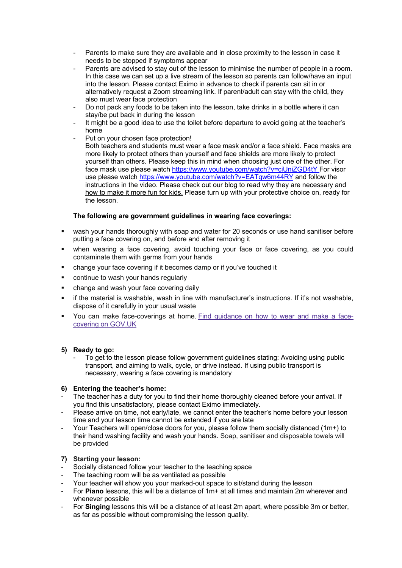- Parents to make sure they are available and in close proximity to the lesson in case it needs to be stopped if symptoms appear
- Parents are advised to stay out of the lesson to minimise the number of people in a room. In this case we can set up a live stream of the lesson so parents can follow/have an input into the lesson. Please contact Eximo in advance to check if parents can sit in or alternatively request a Zoom streaming link. If parent/adult can stay with the child, they also must wear face protection
- Do not pack any foods to be taken into the lesson, take drinks in a bottle where it can stay/be put back in during the lesson
- It might be a good idea to use the toilet before departure to avoid going at the teacher's home
- Put on your chosen face protection!
- Both teachers and students must wear a face mask and/or a face shield. Face masks are more likely to protect others than yourself and face shields are more likely to protect yourself than others. Please keep this in mind when choosing just one of the other. For face mask use please watch https://www.youtube.com/watch?v=ciUniZGD4tY For visor use please watch https://www.youtube.com/watch?v=EATqw6m44RY and follow the instructions in the video. Please check out our blog to read why they are necessary and how to make it more fun for kids. Please turn up with your protective choice on, ready for the lesson.

# **The following are government guidelines in wearing face coverings:**

- wash your hands thoroughly with soap and water for 20 seconds or use hand sanitiser before putting a face covering on, and before and after removing it
- when wearing a face covering, avoid touching your face or face covering, as you could contaminate them with germs from your hands
- § change your face covering if it becomes damp or if you've touched it
- continue to wash your hands regularly
- change and wash your face covering daily
- § if the material is washable, wash in line with manufacturer's instructions. If it's not washable, dispose of it carefully in your usual waste
- § You can make face-coverings at home. Find guidance on how to wear and make a facecovering on GOV.UK

## **5) Ready to go:**

To get to the lesson please follow government guidelines stating: Avoiding using public transport, and aiming to walk, cycle, or drive instead. If using public transport is necessary, wearing a face covering is mandatory

## **6) Entering the teacher's home:**

- The teacher has a duty for you to find their home thoroughly cleaned before your arrival. If you find this unsatisfactory, please contact Eximo immediately.
- Please arrive on time, not early/late, we cannot enter the teacher's home before your lesson time and your lesson time cannot be extended if you are late
- Your Teachers will open/close doors for you, please follow them socially distanced (1m+) to their hand washing facility and wash your hands. Soap, sanitiser and disposable towels will be provided

# **7) Starting your lesson:**

- Socially distanced follow your teacher to the teaching space
- The teaching room will be as ventilated as possible
- Your teacher will show you your marked-out space to sit/stand during the lesson
- For **Piano** lessons, this will be a distance of 1m+ at all times and maintain 2m wherever and whenever possible
- For **Singing** lessons this will be a distance of at least 2m apart, where possible 3m or better, as far as possible without compromising the lesson quality.